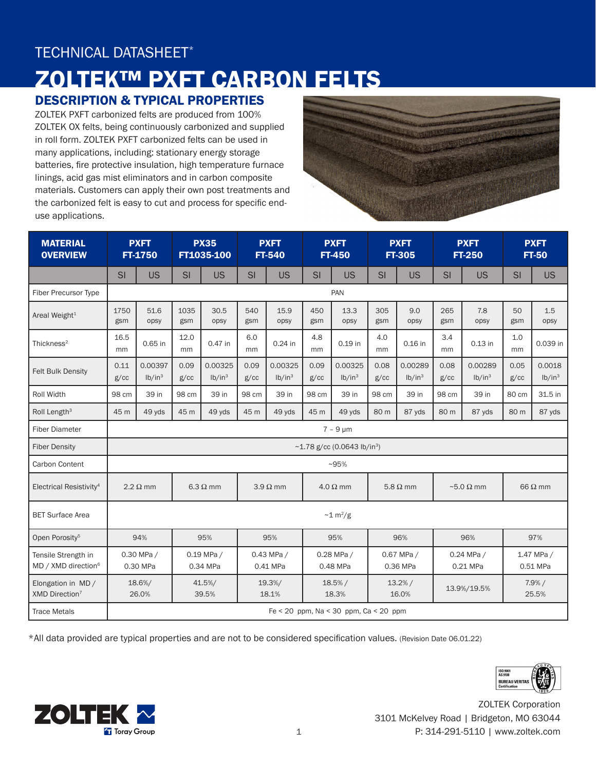## TECHNICAL DATASHEET\*

# ZOLTEK™ PXFT CARBON FELTS

### DESCRIPTION & TYPICAL PROPERTIES

ZOLTEK PXFT carbonized felts are produced from 100% ZOLTEK OX felts, being continuously carbonized and supplied in roll form. ZOLTEK PXFT carbonized felts can be used in many applications, including: stationary energy storage batteries, fire protective insulation, high temperature furnace linings, acid gas mist eliminators and in carbon composite materials. Customers can apply their own post treatments and the carbonized felt is easy to cut and process for specific enduse applications.



| <b>MATERIAL</b><br><b>OVERVIEW</b>                     | <b>PXFT</b><br>FT-1750                        |                               | <b>PX35</b><br>FT1035-100 |                               | <b>PXFT</b><br><b>FT-540</b> |                               | <b>PXFT</b><br><b>FT-450</b> |                                       | <b>PXFT</b><br><b>FT-305</b> |                               | <b>PXFT</b><br><b>FT-250</b> |                               | <b>PXFT</b><br><b>FT-50</b> |                              |
|--------------------------------------------------------|-----------------------------------------------|-------------------------------|---------------------------|-------------------------------|------------------------------|-------------------------------|------------------------------|---------------------------------------|------------------------------|-------------------------------|------------------------------|-------------------------------|-----------------------------|------------------------------|
|                                                        | SI                                            | <b>US</b>                     | SI                        | <b>US</b>                     | SI                           | <b>US</b>                     | SI                           | <b>US</b>                             | SI                           | <b>US</b>                     | <b>SI</b>                    | <b>US</b>                     | <b>SI</b>                   | <b>US</b>                    |
| <b>Fiber Precursor Type</b>                            | PAN                                           |                               |                           |                               |                              |                               |                              |                                       |                              |                               |                              |                               |                             |                              |
| Areal Weight <sup>1</sup>                              | 1750<br>gsm                                   | 51.6<br>opsy                  | 1035<br>gsm               | 30.5<br>opsy                  | 540<br>gsm                   | 15.9<br>opsy                  | 450<br>gsm                   | 13.3<br>opsy                          | 305<br>gsm                   | 9.0<br>opsy                   | 265<br>gsm                   | 7.8<br>opsy                   | 50<br>gsm                   | 1.5<br>opsy                  |
| Thickness <sup>2</sup>                                 | 16.5<br>mm                                    | 0.65 in                       | 12.0<br>mm                | 0.47 in                       | 6.0<br>mm                    | 0.24 in                       | 4.8<br>mm                    | 0.19 in                               | 4.0<br>mm                    | 0.16 in                       | 3.4<br>mm                    | $0.13$ in                     | 1.0<br>mm                   | 0.039 in                     |
| <b>Felt Bulk Density</b>                               | 0.11<br>g/cc                                  | 0.00397<br>lb/in <sup>3</sup> | 0.09<br>g/cc              | 0.00325<br>lb/in <sup>3</sup> | 0.09<br>g/cc                 | 0.00325<br>lb/in <sup>3</sup> | 0.09<br>g/cc                 | 0.00325<br>lb/in <sup>3</sup>         | 0.08<br>g/cc                 | 0.00289<br>lb/in <sup>3</sup> | 0.08<br>g/cc                 | 0.00289<br>lb/in <sup>3</sup> | 0.05<br>g/cc                | 0.0018<br>lb/in <sup>3</sup> |
| Roll Width                                             | 98 cm                                         | 39 in                         | 98 cm                     | 39 in                         | 98 cm                        | 39 in                         | 98 cm                        | 39 in                                 | 98 cm                        | 39 in                         | 98 cm                        | 39 in                         | 80 cm                       | 31.5 in                      |
| Roll Length <sup>3</sup>                               | 45 m                                          | 49 yds                        | 45 m                      | 49 yds                        | 45 m                         | 49 yds                        | 45 m                         | 49 yds                                | 80 m                         | 87 yds                        | 80 m                         | 87 yds                        | 80 m                        | 87 yds                       |
| <b>Fiber Diameter</b>                                  | $7 - 9 \mu m$                                 |                               |                           |                               |                              |                               |                              |                                       |                              |                               |                              |                               |                             |                              |
| <b>Fiber Density</b>                                   | $\sim$ 1.78 g/cc (0.0643 lb/in <sup>3</sup> ) |                               |                           |                               |                              |                               |                              |                                       |                              |                               |                              |                               |                             |                              |
| Carbon Content                                         | $~105\%$                                      |                               |                           |                               |                              |                               |                              |                                       |                              |                               |                              |                               |                             |                              |
| Electrical Resistivity <sup>4</sup>                    | $2.2 \Omega$ mm                               |                               | $6.3 \Omega$ mm           |                               | $3.9 \Omega$ mm              |                               | $4.0 \Omega$ mm              |                                       | $5.8 \Omega$ mm              |                               | $\sim$ 5.0 $\Omega$ mm       |                               | $66 \Omega$ mm              |                              |
| <b>BET Surface Area</b>                                | $\sim$ 1 m <sup>2</sup> /g                    |                               |                           |                               |                              |                               |                              |                                       |                              |                               |                              |                               |                             |                              |
| Open Porosity <sup>5</sup>                             | 94%                                           |                               | 95%                       |                               | 95%                          |                               | 95%                          |                                       | 96%                          |                               | 96%                          |                               | 97%                         |                              |
| Tensile Strength in<br>MD / XMD direction <sup>6</sup> | 0.30 MPa /<br>0.30 MPa                        |                               | $0.19$ MPa /<br>0.34 MPa  |                               | $0.43$ MPa $/$<br>0.41 MPa   |                               | 0.28 MPa /<br>0.48 MPa       |                                       | 0.67 MPa /<br>0.36 MPa       |                               | 0.24 MPa /<br>0.21 MPa       |                               | 1.47 MPa /<br>0.51 MPa      |                              |
| Elongation in MD/<br>XMD Direction <sup>7</sup>        | 18.6%/<br>26.0%                               |                               | 41.5%/<br>39.5%           |                               | 19.3%/<br>18.1%              |                               | 18.5% /<br>18.3%             |                                       | 13.2%/<br>16.0%              |                               | 13.9%/19.5%                  |                               | 7.9%/<br>25.5%              |                              |
| <b>Trace Metals</b>                                    |                                               |                               |                           |                               |                              |                               |                              | Fe < 20 ppm, Na < 30 ppm, Ca < 20 ppm |                              |                               |                              |                               |                             |                              |

\*All data provided are typical properties and are not to be considered specification values. (Revision Date 06.01.22)



ZOLTEK Corporation 3101 McKelvey Road | Bridgeton, MO 63044 1 P: 314-291-5110 | www.zoltek.com

ISO 9001<br>AS 9100 **BUREAU VERITA**